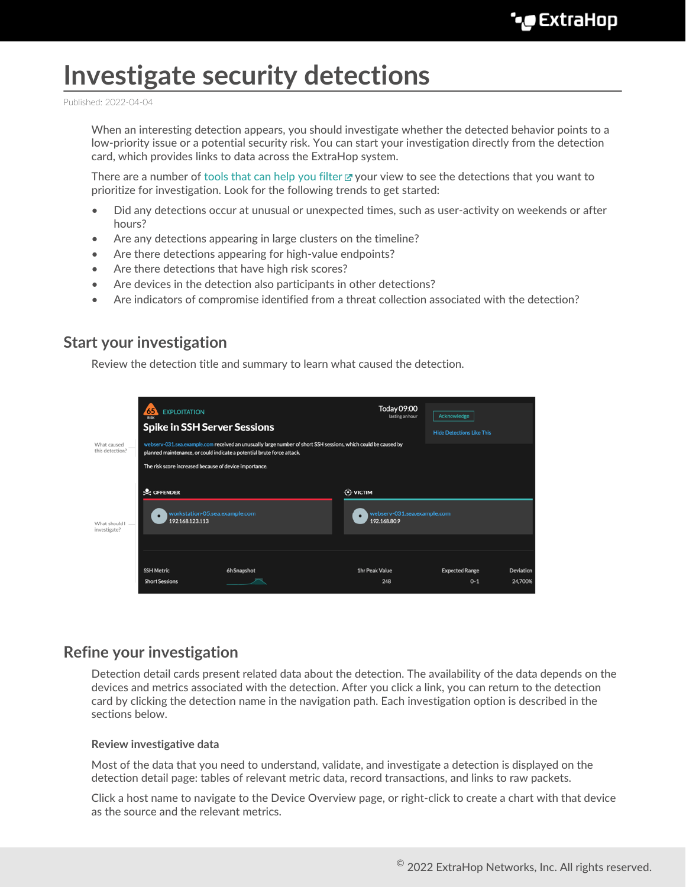# **Investigate security detections**

Published: 2022-04-04

When an interesting detection appears, you should investigate whether the detected behavior points to a low-priority issue or a potential security risk. You can start your investigation directly from the detection card, which provides links to data across the ExtraHop system.

There are a number of [tools that can help you filter](https://docs.extrahop.com/8.9/detections-overview/#navigating-detections)  $\mathbb F$  your view to see the detections that you want to prioritize for investigation. Look for the following trends to get started:

- Did any detections occur at unusual or unexpected times, such as user-activity on weekends or after hours?
- Are any detections appearing in large clusters on the timeline?
- Are there detections appearing for high-value endpoints?
- Are there detections that have high risk scores?
- Are devices in the detection also participants in other detections?
- Are indicators of compromise identified from a threat collection associated with the detection?

# **Start your investigation**

Review the detection title and summary to learn what caused the detection.



# **Refine your investigation**

Detection detail cards present related data about the detection. The availability of the data depends on the devices and metrics associated with the detection. After you click a link, you can return to the detection card by clicking the detection name in the navigation path. Each investigation option is described in the sections below.

#### **Review investigative data**

Most of the data that you need to understand, validate, and investigate a detection is displayed on the detection detail page: tables of relevant metric data, record transactions, and links to raw packets.

Click a host name to navigate to the Device Overview page, or right-click to create a chart with that device as the source and the relevant metrics.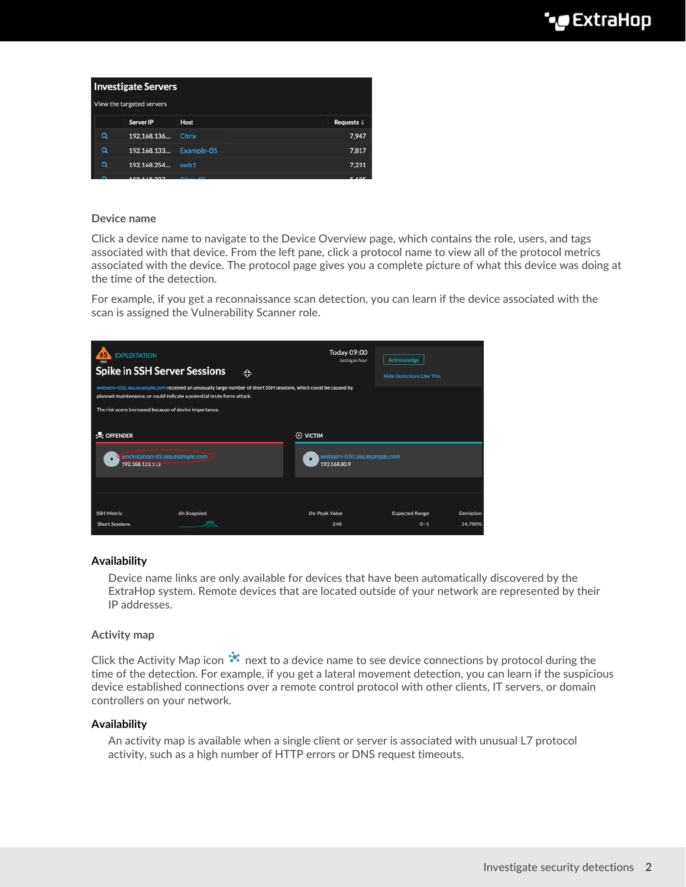|                           | <b>Investigate Servers</b> |             |              |                       |  |  |  |
|---------------------------|----------------------------|-------------|--------------|-----------------------|--|--|--|
| View the targeted servers |                            |             |              |                       |  |  |  |
|                           |                            | Server IP   | Host         | Requests $\downarrow$ |  |  |  |
|                           | Q                          | 192.168.136 | Citrix       | 7.947                 |  |  |  |
|                           | Q                          | 192.168.133 | Example-05   | 7.817                 |  |  |  |
|                           | Q                          | 192.168.254 | exds1        | 7.231                 |  |  |  |
|                           | ⌒                          | 100110000   | and a series | P                     |  |  |  |

#### **Device name**

Click a device name to navigate to the Device Overview page, which contains the role, users, and tags associated with that device. From the left pane, click a protocol name to view all of the protocol metrics associated with the device. The protocol page gives you a complete picture of what this device was doing at the time of the detection.

For example, if you get a reconnaissance scan detection, you can learn if the device associated with the scan is assigned the Vulnerability Scanner role.

| <b>EXPLOITATION</b><br><b>Spike in SSH Server Sessions</b><br>webserv-031.sea.example.com received an unusually large number of short SSH sessions, which could be caused by<br>planned maintenance, or could indicate a potential brute force attack. |                                                        | ٩ | <b>Today 09:00</b><br>lasting an hour                                     | Acknowledge<br><b>Hide Detections Like This</b> |                  |  |  |
|--------------------------------------------------------------------------------------------------------------------------------------------------------------------------------------------------------------------------------------------------------|--------------------------------------------------------|---|---------------------------------------------------------------------------|-------------------------------------------------|------------------|--|--|
|                                                                                                                                                                                                                                                        | The risk score increased because of device importance. |   |                                                                           |                                                 |                  |  |  |
| $\&$ OFFENDER<br>workstation-05.sea.example.com<br>192.168.123.113                                                                                                                                                                                     |                                                        |   | <b><del>◯</del> VICTIM</b><br>webserv-031.sea.example.com<br>192.168.80.9 |                                                 |                  |  |  |
| <b>SSH Metric</b>                                                                                                                                                                                                                                      | 6h Snapshot                                            |   | <b>1hr Peak Value</b>                                                     | <b>Expected Range</b>                           | <b>Deviation</b> |  |  |
| <b>Short Sessions</b>                                                                                                                                                                                                                                  |                                                        |   | 248                                                                       | $0 - 1$                                         | 24.700%          |  |  |

#### **Availability**

Device name links are only available for devices that have been automatically discovered by the ExtraHop system. Remote devices that are located outside of your network are represented by their IP addresses.

#### **Activity map**

Click the Activity Map icon  $\ddot{\ddot{\cdot}}$  next to a device name to see device connections by protocol during the time of the detection. For example, if you get a lateral movement detection, you can learn if the suspicious device established connections over a remote control protocol with other clients, IT servers, or domain controllers on your network.

#### **Availability**

An activity map is available when a single client or server is associated with unusual L7 protocol activity, such as a high number of HTTP errors or DNS request timeouts.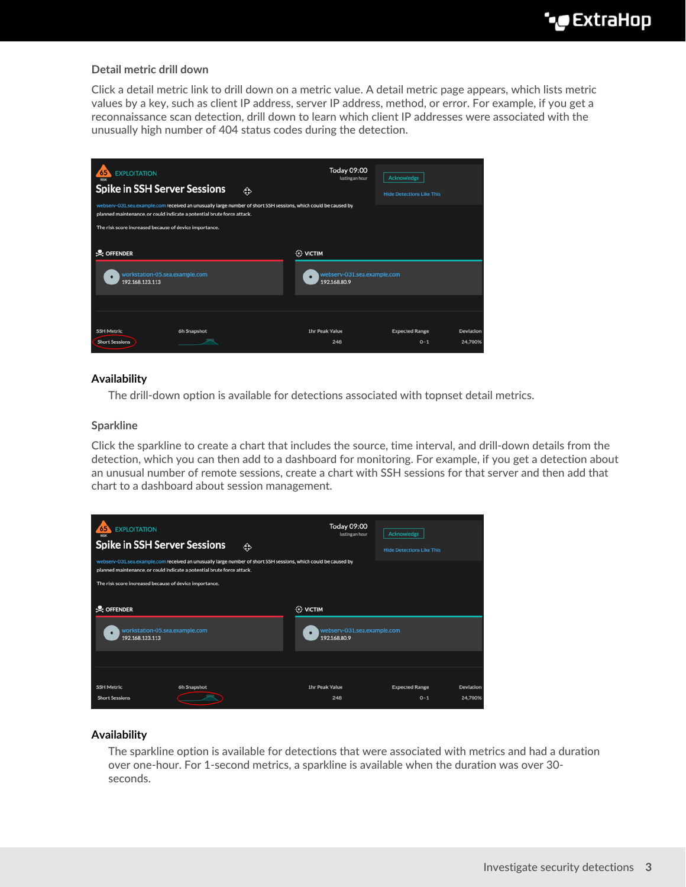## **Detail metric drill down**

Click a detail metric link to drill down on a metric value. A detail metric page appears, which lists metric values by a key, such as client IP address, server IP address, method, or error. For example, if you get a reconnaissance scan detection, drill down to learn which client IP addresses were associated with the unusually high number of 404 status codes during the detection.

| <b>EXPLOITATION</b><br>65<br><b>Spike in SSH Server Sessions</b><br>webserv-031.sea.example.com received an unusually large number of short SSH sessions, which could be caused by<br>planned maintenance, or could indicate a potential brute force attack.<br>The risk score increased because of device importance. |             | ٩                                                                       | Today 09:00<br>lasting an hour | Acknowledge<br><b>Hide Detections Like This</b> |                      |
|------------------------------------------------------------------------------------------------------------------------------------------------------------------------------------------------------------------------------------------------------------------------------------------------------------------------|-------------|-------------------------------------------------------------------------|--------------------------------|-------------------------------------------------|----------------------|
| $\&$ OFFENDER<br>workstation-05.sea.example.com<br>192.168.123.113                                                                                                                                                                                                                                                     |             | $\leftrightarrow$ VICTIM<br>webserv-031.sea.example.com<br>192.168.80.9 |                                |                                                 |                      |
| <b>SSH Metric</b><br><b>Short Sessions</b>                                                                                                                                                                                                                                                                             | 6h Snapshot |                                                                         | 1hr Peak Value<br>248          | <b>Expected Range</b><br>$0 - 1$                | Deviation<br>24.700% |

# **Availability**

The drill-down option is available for detections associated with topnset detail metrics.

#### **Sparkline**

Click the sparkline to create a chart that includes the source, time interval, and drill-down details from the detection, which you can then add to a dashboard for monitoring. For example, if you get a detection about an unusual number of remote sessions, create a chart with SSH sessions for that server and then add that chart to a dashboard about session management.

| <b>EXPLOITATION</b><br>65<br><b>Spike in SSH Server Sessions</b><br>webserv-031.sea.example.com received an unusually large number of short SSH sessions, which could be caused by<br>planned maintenance, or could indicate a potential brute force attack.<br>The risk score increased because of device importance. |             | ٩ | <b>Today 09:00</b><br>lasting an hour                          | Acknowledge<br><b>Hide Detections Like This</b> |                      |
|------------------------------------------------------------------------------------------------------------------------------------------------------------------------------------------------------------------------------------------------------------------------------------------------------------------------|-------------|---|----------------------------------------------------------------|-------------------------------------------------|----------------------|
| <b>Q</b> OFFENDER<br>workstation-05.sea.example.com<br>192.168.123.113                                                                                                                                                                                                                                                 |             |   | <b>O</b> VICTIM<br>webserv-031.sea.example.com<br>192.168.80.9 |                                                 |                      |
| <b>SSH Metric</b><br><b>Short Sessions</b>                                                                                                                                                                                                                                                                             | 6h Snapshot |   | <b>1hr Peak Value</b><br>248                                   | <b>Expected Range</b><br>$0 - 1$                | Deviation<br>24.700% |

#### **Availability**

The sparkline option is available for detections that were associated with metrics and had a duration over one-hour. For 1-second metrics, a sparkline is available when the duration was over 30 seconds.